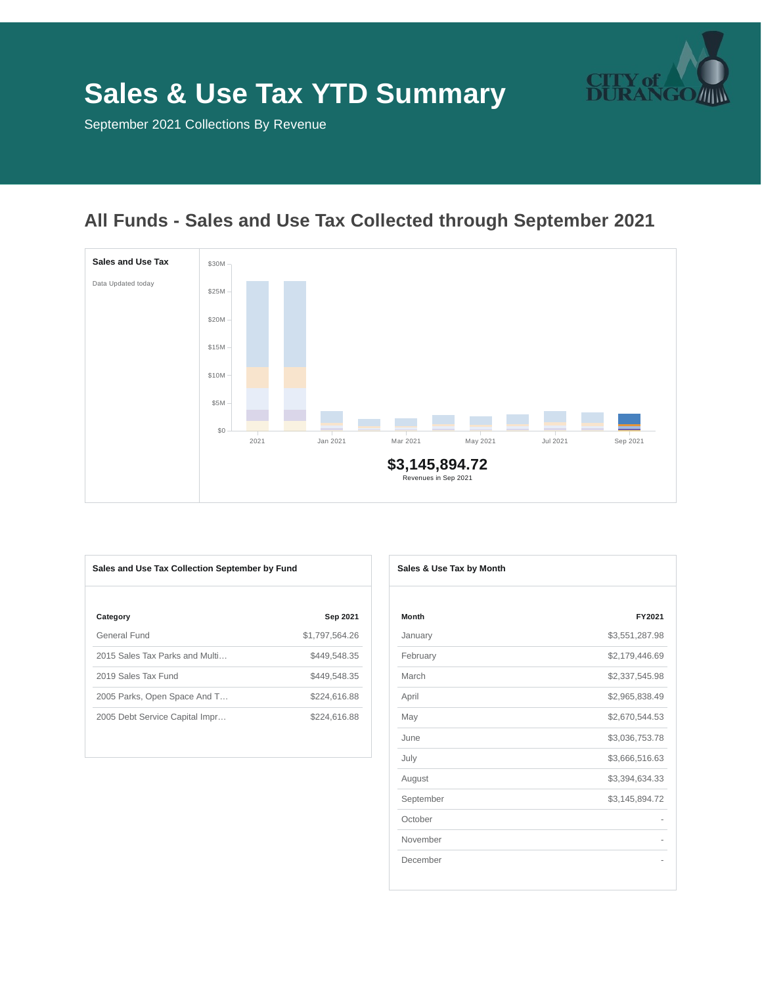

# **Sales & Use Tax YTD Summary**

September 2021 Collections By Revenue

# **All Funds - Sales and Use Tax Collected through September 2021**



| Sales and Use Tax Collection September by Fund |                | Sales & Use Tax by Month |
|------------------------------------------------|----------------|--------------------------|
| Category                                       | Sep 2021       | Month                    |
| General Fund                                   | \$1,797.564.26 | January                  |
| 2015 Sales Tax Parks and Multi                 | \$449.548.35   | February                 |
| 2019 Sales Tax Fund                            | \$449,548.35   | March                    |
| 2005 Parks, Open Space And T                   | \$224,616.88   | April                    |
| 2005 Debt Service Capital Impr                 | \$224,616.88   | May                      |
|                                                |                |                          |

| Sales & Use Tax by Month |                |  |
|--------------------------|----------------|--|
|                          |                |  |
| Month                    | FY2021         |  |
| January                  | \$3,551,287.98 |  |
| February                 | \$2,179,446.69 |  |
| March                    | \$2,337,545.98 |  |
| April                    | \$2,965,838.49 |  |
| May                      | \$2,670,544.53 |  |
| June                     | \$3,036,753.78 |  |
| July                     | \$3,666,516.63 |  |
| August                   | \$3,394,634.33 |  |
| September                | \$3,145,894.72 |  |
| October                  |                |  |
| November                 |                |  |
| December                 |                |  |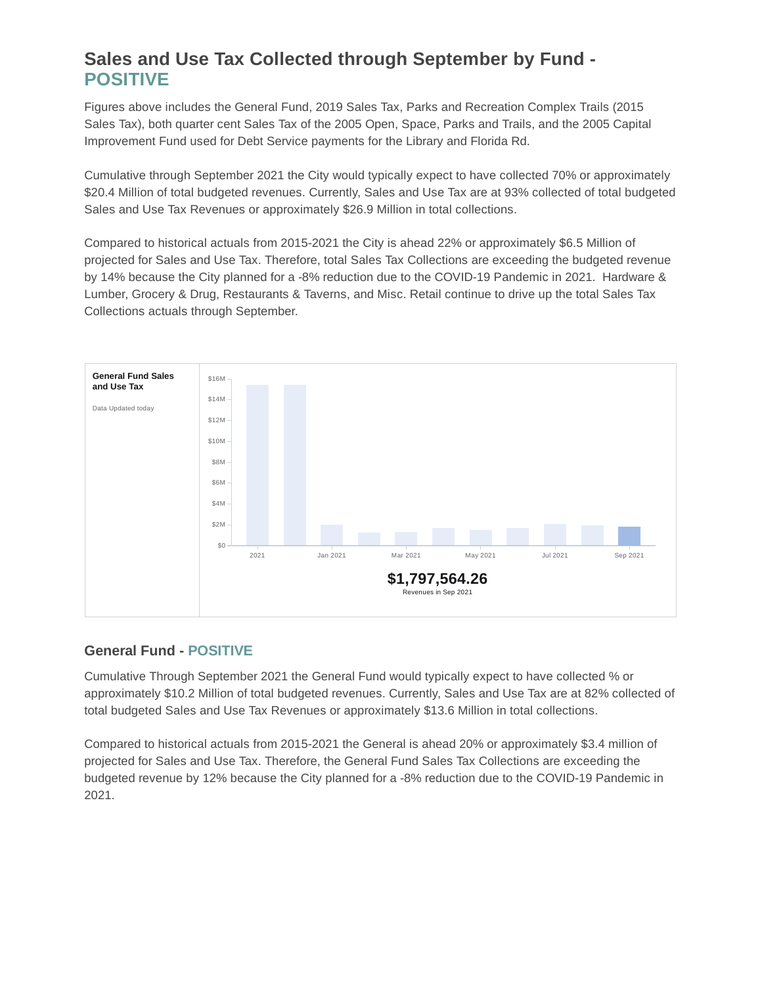## **Sales and Use Tax Collected through September by Fund - POSITIVE**

Figures above includes the General Fund, 2019 Sales Tax, Parks and Recreation Complex Trails (2015 Sales Tax), both quarter cent Sales Tax of the 2005 Open, Space, Parks and Trails, and the 2005 Capital Improvement Fund used for Debt Service payments for the Library and Florida Rd.

Cumulative through September 2021 the City would typically expect to have collected 70% or approximately \$20.4 Million of total budgeted revenues. Currently, Sales and Use Tax are at 93% collected of total budgeted Sales and Use Tax Revenues or approximately \$26.9 Million in total collections.

Compared to historical actuals from 2015-2021 the City is ahead 22% or approximately \$6.5 Million of projected for Sales and Use Tax. Therefore, total Sales Tax Collections are exceeding the budgeted revenue by 14% because the City planned for a -8% reduction due to the COVID-19 Pandemic in 2021. Hardware & Lumber, Grocery & Drug, Restaurants & Taverns, and Misc. Retail continue to drive up the total Sales Tax Collections actuals through September.



#### **General Fund - POSITIVE**

Cumulative Through September 2021 the General Fund would typically expect to have collected % or approximately \$10.2 Million of total budgeted revenues. Currently, Sales and Use Tax are at 82% collected of total budgeted Sales and Use Tax Revenues or approximately \$13.6 Million in total collections.

Compared to historical actuals from 2015-2021 the General is ahead 20% or approximately \$3.4 million of projected for Sales and Use Tax. Therefore, the General Fund Sales Tax Collections are exceeding the budgeted revenue by 12% because the City planned for a -8% reduction due to the COVID-19 Pandemic in 2021.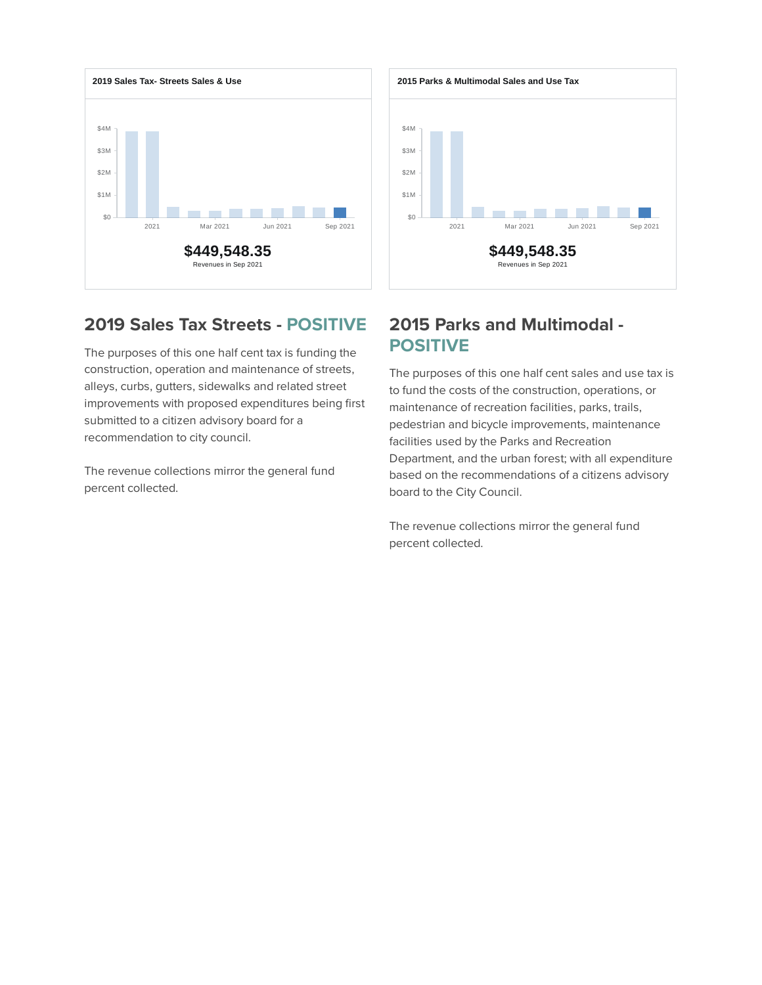



### **2019 Sales Tax Streets - POSITIVE**

The purposes of this one half cent tax is funding the construction, operation and maintenance of streets, alleys, curbs, gutters, sidewalks and related street improvements with proposed expenditures being first submitted to a citizen advisory board for a recommendation to city council.

The revenue collections mirror the general fund percent collected.

#### **2015 Parks and Multimodal - POSITIVE**

The purposes of this one half cent sales and use tax is to fund the costs of the construction, operations, or maintenance of recreation facilities, parks, trails, pedestrian and bicycle improvements, maintenance facilities used by the Parks and Recreation Department, and the urban forest; with all expenditure based on the recommendations of a citizens advisory board to the City Council.

The revenue collections mirror the general fund percent collected.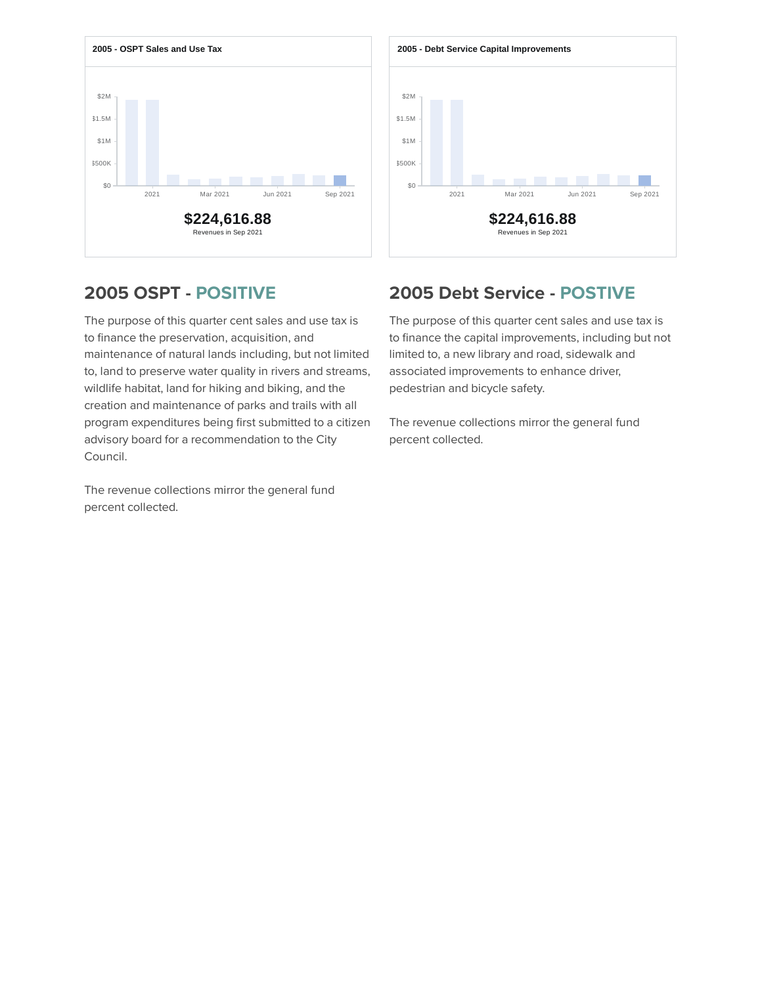



### **2005 OSPT - POSITIVE**

The purpose of this quarter cent sales and use tax is to finance the preservation, acquisition, and maintenance of natural lands including, but not limited to, land to preserve water quality in rivers and streams, wildlife habitat, land for hiking and biking, and the creation and maintenance of parks and trails with all program expenditures being first submitted to a citizen advisory board for a recommendation to the City Council.

The revenue collections mirror the general fund percent collected.

## **2005 Debt Service - POSTIVE**

The purpose of this quarter cent sales and use tax is to finance the capital improvements, including but not limited to, a new library and road, sidewalk and associated improvements to enhance driver, pedestrian and bicycle safety.

The revenue collections mirror the general fund percent collected.